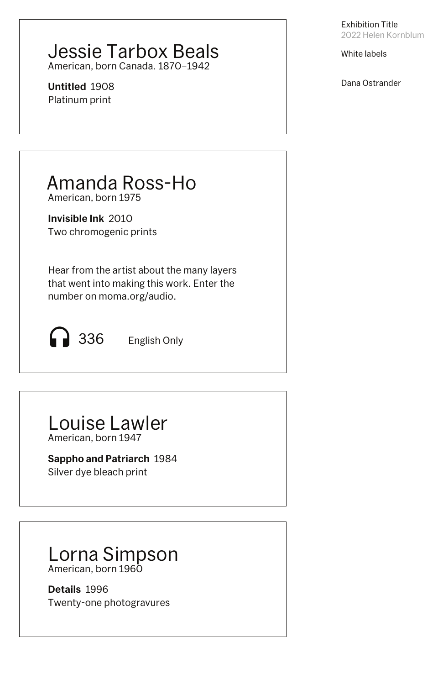### Jessie Tarbox Beals American, born Canada. 1870–1942

**Untitled** 1908 Platinum print

Exhibition Title 2022 Helen Kornblum

White labels

Dana Ostrander

## Amanda Ross-Ho

American, born 1975

**Invisible Ink** 2010 Two chromogenic prints

Hear from the artist about the many layers that went into making this work. Enter the number on moma.org/audio.

336 English Only

# Louise Lawler

American, born 1947

**Sappho and Patriarch 1984** 

Silver dye bleach print

### Lorna Simpson American, born 1960

**Details** 1996 Twenty-one photogravures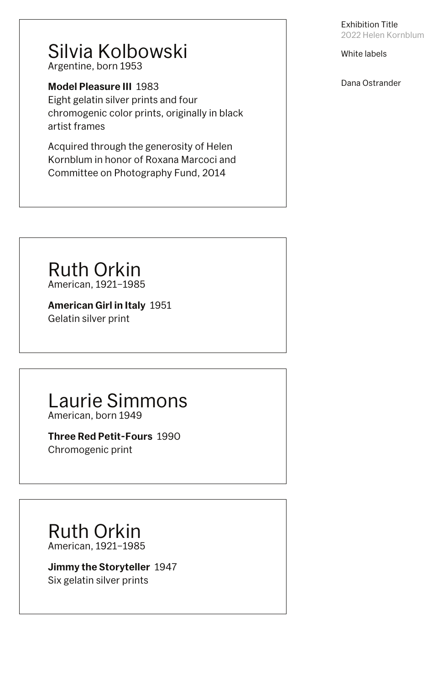### Silvia Kolbowski Argentine, born 1953

**Model Pleasure III 1983** 

Eight gelatin silver prints and four chromogenic color prints, originally in black artist frames

Acquired through the generosity of Helen Kornblum in honor of Roxana Marcoci and Committee on Photography Fund, 2014

Ruth Orkin American, 1921–1985

**American Girl in Italy** 1951 Gelatin silver print

## Laurie Simmons

American, born 1949

**Three Red Petit-Fours** 1990

Chromogenic print

#### Exhibition Title 2022 Helen Kornblum

White labels

Dana Ostrander

### Ruth Orkin American, 1921–1985

#### **Jimmy the Storyteller** 1947 Six gelatin silver prints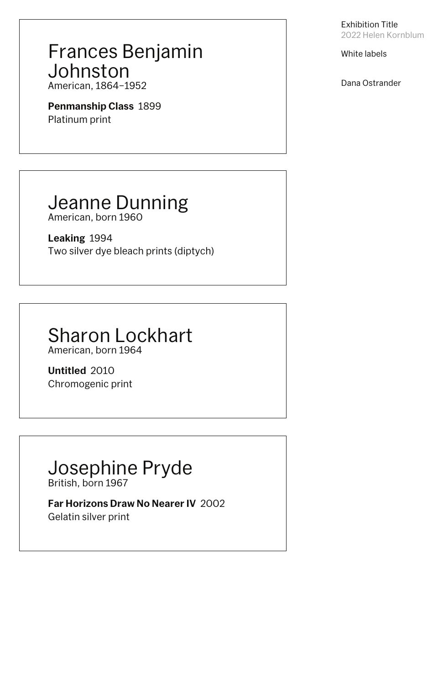## Frances Benjamin Johnston

American, 1864–1952

**Penmanship Class** 1899 Platinum print

## Jeanne Dunning

American, born 1960

**Leaking** 1994 Two silver dye bleach prints (diptych)

## Sharon Lockhart

American, born 1964

**Untitled** 2010 Chromogenic print

#### Exhibition Title 2022 Helen Kornblum

White labels

Dana Ostrander

### Josephine Pryde British, born 1967

**Far Horizons Draw No Nearer IV** 2002

Gelatin silver print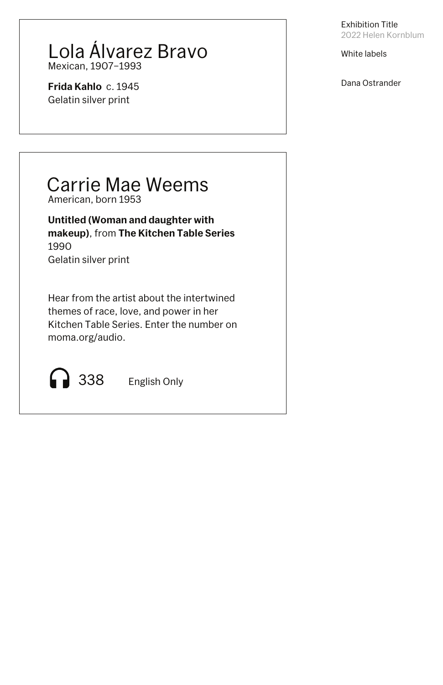### Lola Álvarez Bravo Mexican, 1907–1993

**Frida Kahlo** c. 1945 Gelatin silver print

## Carrie Mae Weems

American, born 1953

**Untitled (Woman and daughter with makeup)**, from **The Kitchen Table Series** 1990 Gelatin silver print

Hear from the artist about the intertwined themes of race, love, and power in her Kitchen Table Series. Enter the number on moma.org/audio.

338 English Only

Exhibition Title 2022 Helen Kornblum

White labels

Dana Ostrander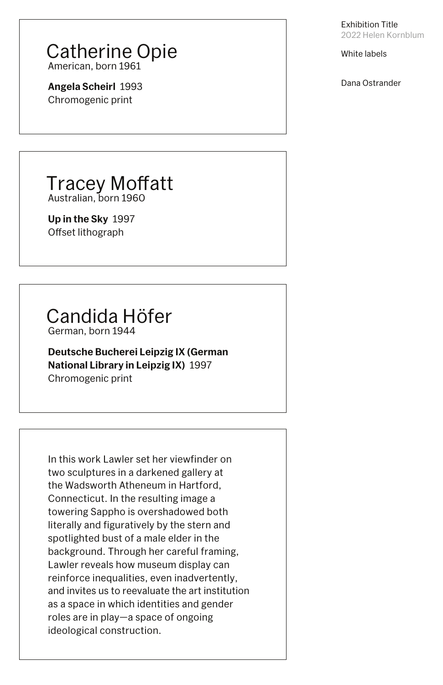### Catherine Opie American, born 1961

**Angela Scheirl** 1993 Chromogenic print

### **Tracey Moffatt** Australian, born 1960

**Up in the Sky** 1997 Offset lithograph

## Candida Höfer

German, born 1944

**Deutsche Bucherei Leipzig IX (German National Library in Leipzig IX)** 1997 Chromogenic print

Exhibition Title 2022 Helen Kornblum

White labels

Dana Ostrander

In this work Lawler set her viewfinder on two sculptures in a darkened gallery at the Wadsworth Atheneum in Hartford, Connecticut. In the resulting image a towering Sappho is overshadowed both literally and figuratively by the stern and spotlighted bust of a male elder in the background. Through her careful framing, Lawler reveals how museum display can reinforce inequalities, even inadvertently, and invites us to reevaluate the art institution as a space in which identities and gender roles are in play—a space of ongoing ideological construction.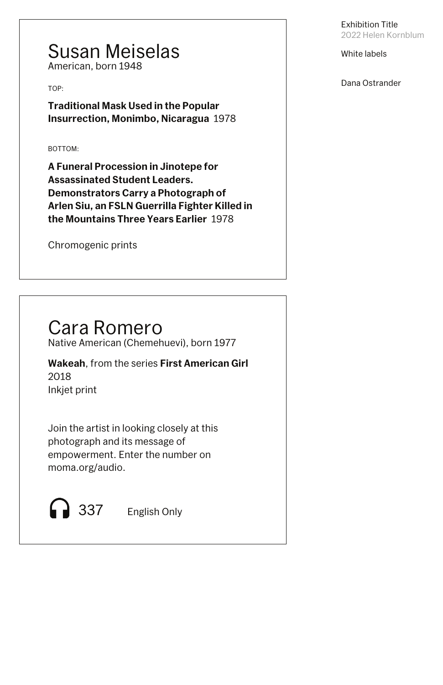### Susan Meiselas American, born 1948

TOP:

**Traditional Mask Used in the Popular Insurrection, Monimbo, Nicaragua** 1978

BOTTOM:

**A Funeral Procession in Jinotepe for Assassinated Student Leaders. Demonstrators Carry a Photograph of Arlen Siu, an FSLN Guerrilla Fighter Killed in the Mountains Three Years Earlier** 1978

Chromogenic prints

Exhibition Title 2022 Helen Kornblum

White labels

Dana Ostrander

## Cara Romero

Native American (Chemehuevi), born 1977

Join the artist in looking closely at this photograph and its message of empowerment. Enter the number on moma.org/audio.

Inkjet print **Wakeah**, from the series **First American Girl** 2018

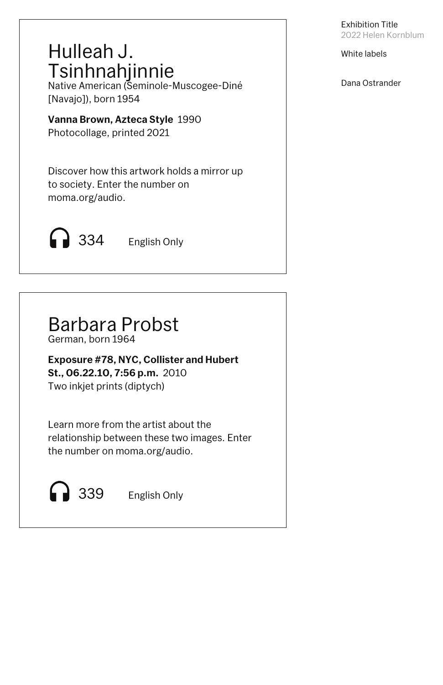White labels

Dana Ostrander



## Hulleah J. Tsinhnahjinnie

Native American (Seminole-Muscogee-Diné [Navajo]), born 1954

**Vanna Brown, Azteca Style** 1990 Photocollage, printed 2021

Discover how this artwork holds a mirror up to society. Enter the number on moma.org/audio.



## Barbara Probst

German, born 1964

**Exposure #78, NYC, Collister and Hubert St., 06.22.10, 7:56 p.m.** 2010 Two inkjet prints (diptych)

Learn more from the artist about the relationship between these two images. Enter the number on moma.org/audio.

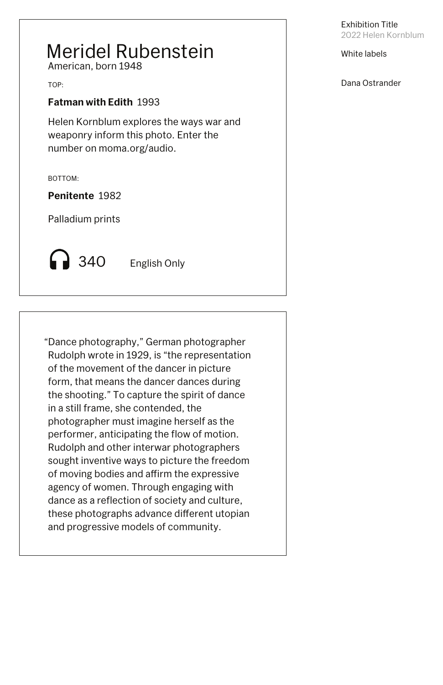White labels

Dana Ostrander

## Meridel Rubenstein

American, born 1948

TOP:

### **Fatman with Edith** 1993

Helen Kornblum explores the ways war and weaponry inform this photo. Enter the number on moma.org/audio.

BOTTOM:

**Penitente** 1982

Palladium prints

**340** English Only

"Dance photography," German photographer Rudolph wrote in 1929, is "the representation of the movement of the dancer in picture form, that means the dancer dances during the shooting." To capture the spirit of dance in a still frame, she contended, the photographer must imagine herself as the performer, anticipating the flow of motion. Rudolph and other interwar photographers sought inventive ways to picture the freedom of moving bodies and affirm the expressive agency of women. Through engaging with dance as a reflection of society and culture, these photographs advance different utopian and progressive models of community.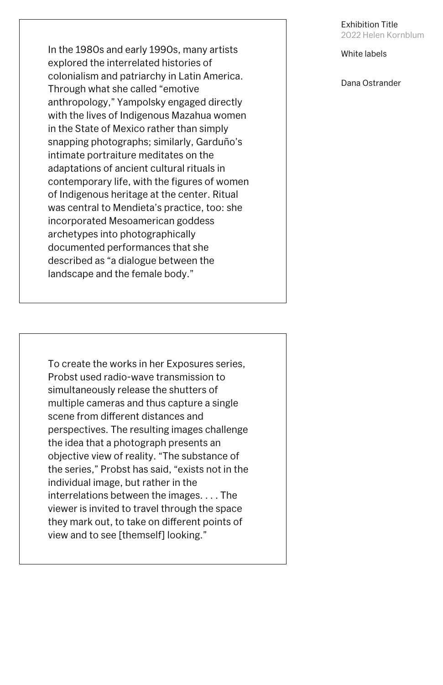White labels

Dana Ostrander

In the 1980s and early 1990s, many artists explored the interrelated histories of colonialism and patriarchy in Latin America. Through what she called "emotive anthropology," Yampolsky engaged directly with the lives of Indigenous Mazahua women in the State of Mexico rather than simply snapping photographs; similarly, Garduño's intimate portraiture meditates on the adaptations of ancient cultural rituals in contemporary life, with the figures of women of Indigenous heritage at the center. Ritual was central to Mendieta's practice, too: she incorporated Mesoamerican goddess archetypes into photographically documented performances that she described as "a dialogue between the landscape and the female body."

To create the works in her Exposures series, Probst used radio-wave transmission to simultaneously release the shutters of multiple cameras and thus capture a single scene from different distances and perspectives. The resulting images challenge the idea that a photograph presents an objective view of reality. "The substance of the series," Probst has said, "exists not in the individual image, but rather in the interrelations between the images. . . . The viewer is invited to travel through the space they mark out, to take on different points of view and to see [themself] looking."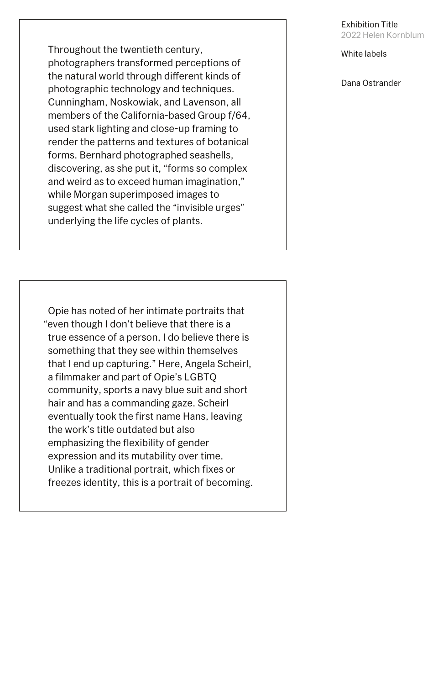White labels

Dana Ostrander



Throughout the twentieth century, photographers transformed perceptions of the natural world through different kinds of photographic technology and techniques. Cunningham, Noskowiak, and Lavenson, all members of the California-based Group f/64, used stark lighting and close-up framing to render the patterns and textures of botanical forms. Bernhard photographed seashells, discovering, as she put it, "forms so complex and weird as to exceed human imagination," while Morgan superimposed images to suggest what she called the "invisible urges" underlying the life cycles of plants.

Opie has noted of her intimate portraits that "even though I don't believe that there is a true essence of a person, I do believe there is something that they see within themselves that I end up capturing." Here, Angela Scheirl, a filmmaker and part of Opie's LGBTQ community, sports a navy blue suit and short hair and has a commanding gaze. Scheirl eventually took the first name Hans, leaving the work's title outdated but also emphasizing the flexibility of gender expression and its mutability over time. Unlike a traditional portrait, which fixes or freezes identity, this is a portrait of becoming.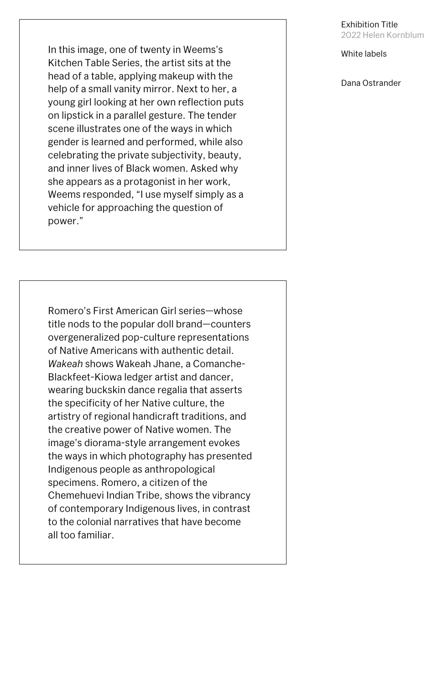White labels

Dana Ostrander

In this image, one of twenty in Weems's Kitchen Table Series, the artist sits at the head of a table, applying makeup with the help of a small vanity mirror. Next to her, a young girl looking at her own reflection puts on lipstick in a parallel gesture. The tender scene illustrates one of the ways in which gender is learned and performed, while also celebrating the private subjectivity, beauty, and inner lives of Black women. Asked why she appears as a protagonist in her work, Weems responded, "I use myself simply as a vehicle for approaching the question of power."

Romero's First American Girl series—whose title nods to the popular doll brand—counters overgeneralized pop-culture representations of Native Americans with authentic detail. *Wakeah* shows Wakeah Jhane, a Comanche-Blackfeet-Kiowa ledger artist and dancer, wearing buckskin dance regalia that asserts the specificity of her Native culture, the artistry of regional handicraft traditions, and the creative power of Native women. The image's diorama-style arrangement evokes the ways in which photography has presented Indigenous people as anthropological specimens. Romero, a citizen of the Chemehuevi Indian Tribe, shows the vibrancy

of contemporary Indigenous lives, in contrast to the colonial narratives that have become all too familiar.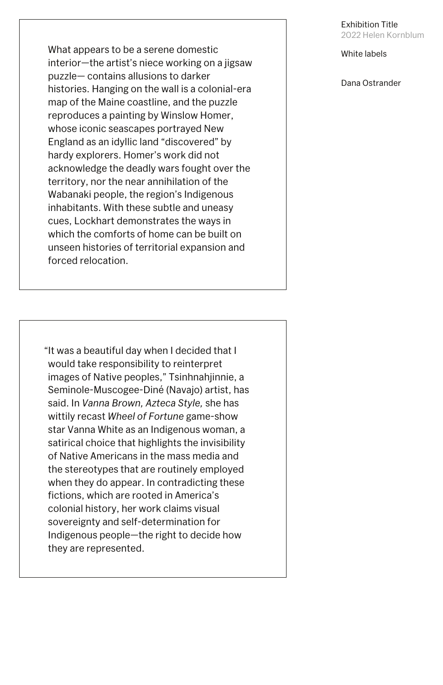White labels

Dana Ostrander

What appears to be a serene domestic interior—the artist's niece working on a jigsaw puzzle— contains allusions to darker histories. Hanging on the wall is a colonial-era map of the Maine coastline, and the puzzle reproduces a painting by Winslow Homer, whose iconic seascapes portrayed New England as an idyllic land "discovered" by hardy explorers. Homer's work did not acknowledge the deadly wars fought over the territory, nor the near annihilation of the Wabanaki people, the region's Indigenous inhabitants. With these subtle and uneasy cues, Lockhart demonstrates the ways in which the comforts of home can be built on unseen histories of territorial expansion and forced relocation.

"It was a beautiful day when I decided that I would take responsibility to reinterpret images of Native peoples," Tsinhnahjinnie, a Seminole-Muscogee-Diné (Navajo) artist, has said. In *Vanna Brown, Azteca Style,* she has wittily recast *Wheel of Fortune* game-show star Vanna White as an Indigenous woman, a satirical choice that highlights the invisibility of Native Americans in the mass media and the stereotypes that are routinely employed when they do appear. In contradicting these fictions, which are rooted in America's

colonial history, her work claims visual sovereignty and self-determination for Indigenous people—the right to decide how they are represented.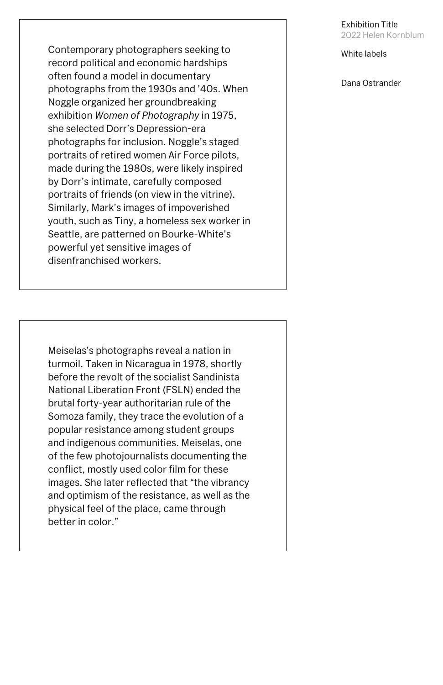White labels

Dana Ostrander

Contemporary photographers seeking to record political and economic hardships often found a model in documentary photographs from the 1930s and '40s. When Noggle organized her groundbreaking exhibition *Women of Photography* in 1975, she selected Dorr's Depression-era photographs for inclusion. Noggle's staged portraits of retired women Air Force pilots, made during the 1980s, were likely inspired by Dorr's intimate, carefully composed portraits of friends (on view in the vitrine). Similarly, Mark's images of impoverished youth, such as Tiny, a homeless sex worker in Seattle, are patterned on Bourke-White's powerful yet sensitive images of disenfranchised workers.

Meiselas's photographs reveal a nation in turmoil. Taken in Nicaragua in 1978, shortly before the revolt of the socialist Sandinista National Liberation Front (FSLN) ended the brutal forty-year authoritarian rule of the Somoza family, they trace the evolution of a popular resistance among student groups and indigenous communities. Meiselas, one of the few photojournalists documenting the conflict, mostly used color film for these images. She later reflected that "the vibrancy and optimism of the resistance, as well as the

physical feel of the place, came through better in color."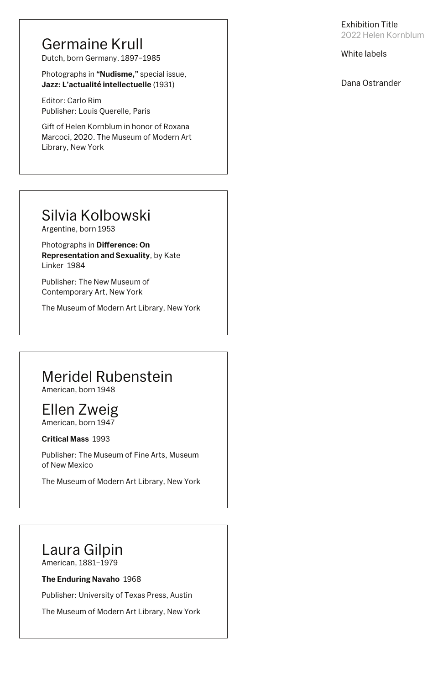#### White labels

Dana Ostrander

## Germaine Krull

Dutch, born Germany. 1897–1985

Photographs in **"Nudisme,"** special issue, **Jazz: L'actualité intellectuelle** (1931)

Editor: Carlo Rim Publisher: Louis Querelle, Paris

Photographs in **Difference: On Representation and Sexuality**, by Kate Linker 1984

Gift of Helen Kornblum in honor of Roxana Marcoci, 2020. The Museum of Modern Art Library, New York

## Silvia Kolbowski

Argentine, born 1953

Publisher: The New Museum of Contemporary Art, New York

The Museum of Modern Art Library, New York

## Meridel Rubenstein

American, born 1948

## Ellen Zweig

American, born 1947

#### **Critical Mass** 1993

Publisher: The Museum of Fine Arts, Museum of New Mexico

The Museum of Modern Art Library, New York

## Laura Gilpin

American, 1881–1979

#### **The Enduring Navaho** 1968

Publisher: University of Texas Press, Austin

The Museum of Modern Art Library, New York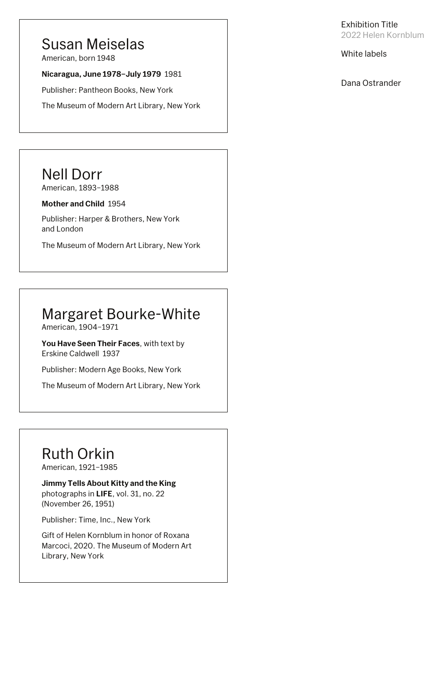#### White labels

Dana Ostrander

### Susan Meiselas

American, born 1948

#### **Nicaragua, June 1978–July 1979** 1981

Publisher: Pantheon Books, New York

The Museum of Modern Art Library, New York

## Nell Dorr

American, 1893–1988

#### **Mother and Child** 1954

Publisher: Harper & Brothers, New York and London

The Museum of Modern Art Library, New York

## Margaret Bourke-White

American, 1904–1971

**You Have Seen Their Faces**, with text by Erskine Caldwell 1937

Publisher: Modern Age Books, New York

The Museum of Modern Art Library, New York

## Ruth Orkin

American, 1921–1985

#### **Jimmy Tells About Kitty and the King**

photographs in **LIFE**, vol. 31, no. 22 (November 26, 1951)

Publisher: Time, Inc., New York

Gift of Helen Kornblum in honor of Roxana Marcoci, 2020. The Museum of Modern Art Library, New York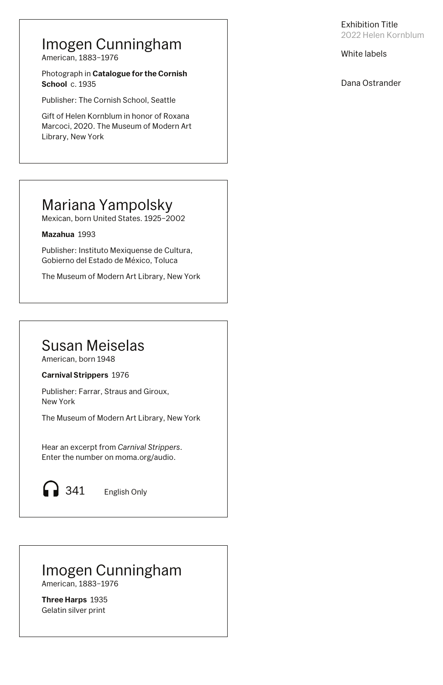#### White labels

Dana Ostrander

## Mariana Yampolsky

Mexican, born United States. 1925–2002

**Mazahua** 1993

Photograph in **Catalogue for the Cornish School c.** 1935

Publisher: Instituto Mexiquense de Cultura, Gobierno del Estado de México, Toluca

The Museum of Modern Art Library, New York

## Imogen Cunningham

American, 1883–1976

Publisher: The Cornish School, Seattle

Gift of Helen Kornblum in honor of Roxana Marcoci, 2020. The Museum of Modern Art Library, New York

## Susan Meiselas

American, born 1948

**Carnival Strippers** 1976

Publisher: Farrar, Straus and Giroux, New York

The Museum of Modern Art Library, New York

#### Imogen Cunningham American, 1883–1976

**Three Harps** 1935 Gelatin silver print

Hear an excerpt from *Carnival Strippers*. Enter the number on moma.org/audio.

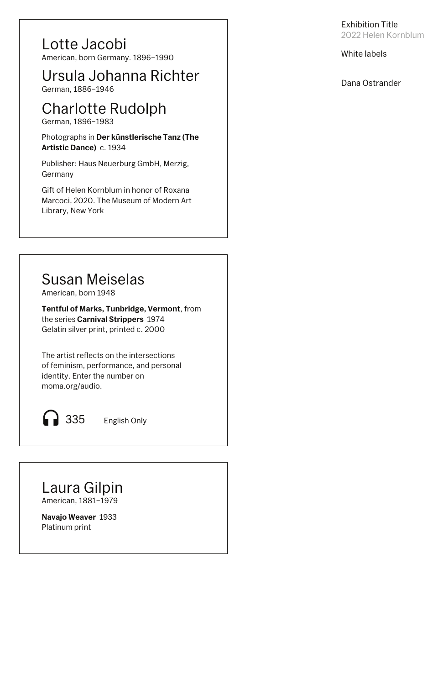#### White labels

Dana Ostrander

Lotte Jacobi

Photographs in **Der künstlerische Tanz (The Artistic Dance)** c. 1934

American, born Germany. 1896–1990

German, 1886–1946

## Charlotte Rudolph

German, 1896–1983

Publisher: Haus Neuerburg GmbH, Merzig, Germany

Gift of Helen Kornblum in honor of Roxana Marcoci, 2020. The Museum of Modern Art Library, New York

Ursula Johanna Richter

## Susan Meiselas

American, born 1948

**Tentful of Marks, Tunbridge, Vermont**, from the series **Carnival Strippers** 1974 Gelatin silver print, printed c. 2000

The artist reflects on the intersections of feminism, performance, and personal identity. Enter the number on moma.org/audio.

335 English Only

Laura Gilpin American, 1881–1979

**Navajo Weaver** 1933 Platinum print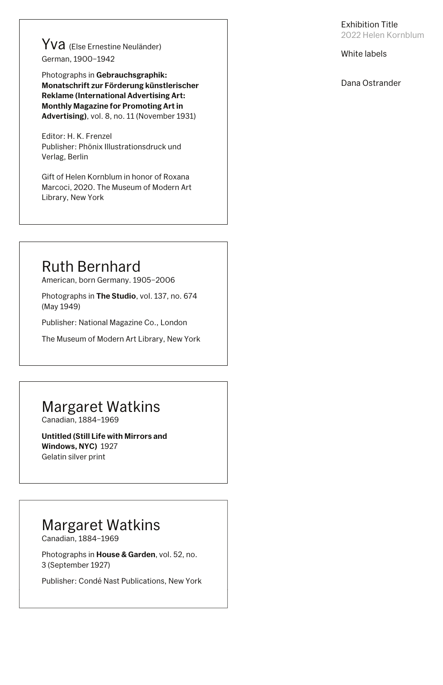White labels

Yva (Else Ernestine Neuländer) German, 1900–1942

Dana Ostrander

Photographs in **Gebrauchsgraphik: Monatschrift zur Förderung künstlerischer Reklame (International Advertising Art: Monthly Magazine for Promoting Art in Advertising)**, vol. 8, no. 11 (November 1931)

Editor: H. K. Frenzel Publisher: Phönix Illustrationsdruck und Verlag, Berlin

Gift of Helen Kornblum in honor of Roxana Marcoci, 2020. The Museum of Modern Art Library, New York

## Ruth Bernhard

American, born Germany. 1905–2006

Photographs in **The Studio**, vol. 137, no. 674 (May 1949)

Publisher: National Magazine Co., London

The Museum of Modern Art Library, New York

## Margaret Watkins

Canadian, 1884–1969

| Photographs in <b>House &amp; Garden</b> , vol. 52, no. |
|---------------------------------------------------------|
| 3 (September 1927)                                      |

Publisher: Condé Nast Publications, New York

## Margaret Watkins

Canadian, 1884–1969

**Untitled (Still Life with Mirrors and Windows, NYC)** 1927 Gelatin silver print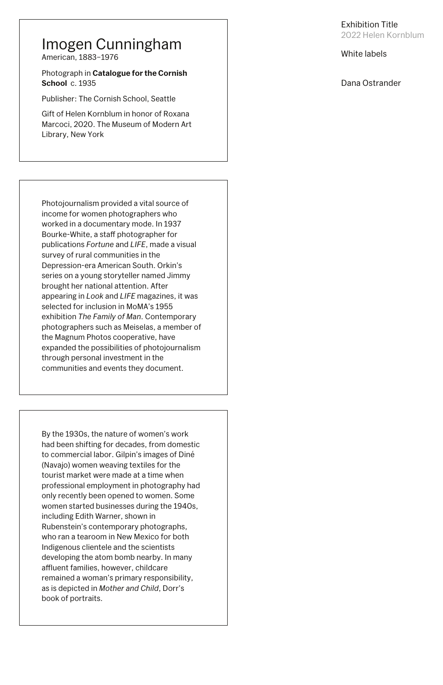#### White labels

Photograph in **Catalogue for the Cornish School c.** 1935

#### Dana Ostrander

### Imogen Cunningham

American, 1883–1976

Publisher: The Cornish School, Seattle

Gift of Helen Kornblum in honor of Roxana Marcoci, 2020. The Museum of Modern Art Library, New York

Photojournalism provided a vital source of income for women photographers who worked in a documentary mode. In 1937 Bourke-White, a staff photographer for publications *Fortune* and *LIFE*, made a visual survey of rural communities in the Depression-era American South. Orkin's series on a young storyteller named Jimmy brought her national attention. After appearing in *Look* and *LIFE* magazines, it was selected for inclusion in MoMA's 1955 exhibition *The Family of Man*. Contemporary photographers such as Meiselas, a member of the Magnum Photos cooperative, have expanded the possibilities of photojournalism through personal investment in the communities and events they document.

had been shifting for decades, from domestic to commercial labor. Gilpin's images of Diné (Navajo) women weaving textiles for the tourist market were made at a time when professional employment in photography had only recently been opened to women. Some women started businesses during the 1940s, including Edith Warner, shown in Rubenstein's contemporary photographs, who ran a tearoom in New Mexico for both Indigenous clientele and the scientists developing the atom bomb nearby. In many affluent families, however, childcare remained a woman's primary responsibility, as is depicted in *Mother and Child*, Dorr's book of portraits. By the 1930s, the nature of women's work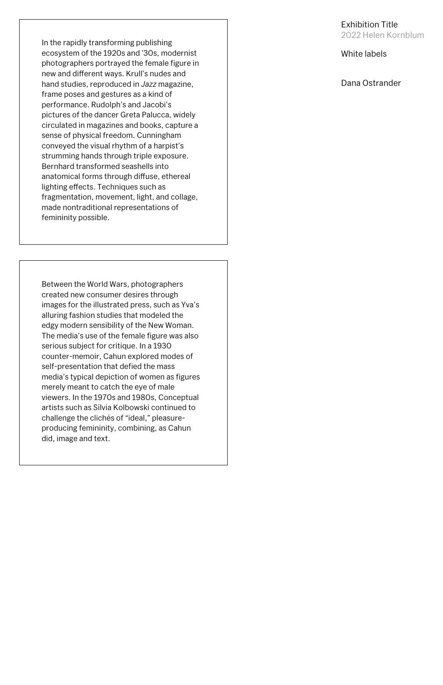#### White labels

Dana Ostrander

In the rapidly transforming publishing ecosystem of the 1920s and '30s, modernist photographers portrayed the female figure in new and different ways. Krull's nudes and hand studies, reproduced in *Jazz* magazine, frame poses and gestures as a kind of performance. Rudolph's and Jacobi's pictures of the dancer Greta Palucca, widely circulated in magazines and books, capture a sense of physical freedom. Cunningham conveyed the visual rhythm of a harpist's strumming hands through triple exposure. Bernhard transformed seashells into anatomical forms through diffuse, ethereal lighting effects. Techniques such as fragmentation, movement, light, and collage, made nontraditional representations of femininity possible.

Between the World Wars, photographers created new consumer desires through images for the illustrated press, such as Yva's alluring fashion studies that modeled the edgy modern sensibility of the New Woman. The media's use of the female figure was also serious subject for critique. In a 1930 counter-memoir, Cahun explored modes of self-presentation that defied the mass media's typical depiction of women as figures merely meant to catch the eye of male viewers. In the 1970s and 1980s, Conceptual artists such as Silvia Kolbowski continued to challenge the clichés of "ideal," pleasureproducing femininity, combining, as Cahun did, image and text.